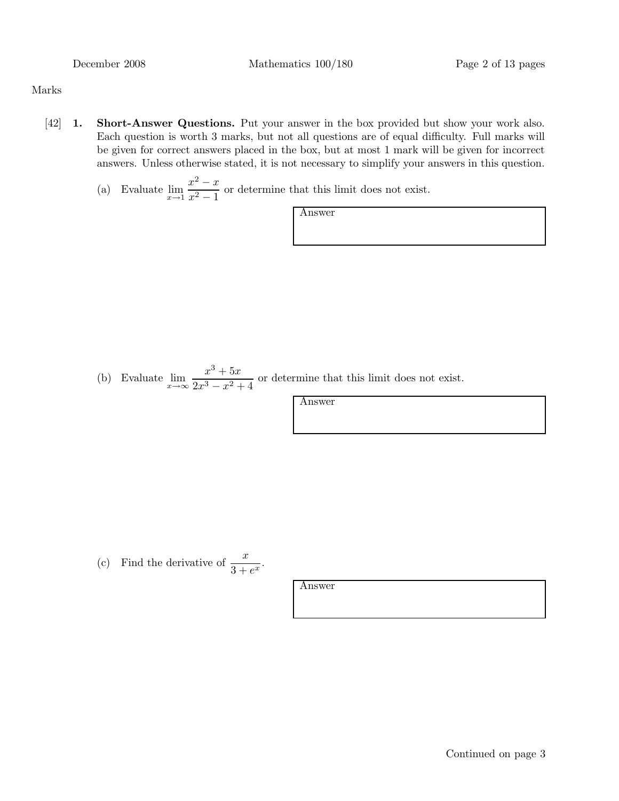#### Marks

- [42] 1. Short-Answer Questions. Put your answer in the box provided but show your work also. Each question is worth 3 marks, but not all questions are of equal difficulty. Full marks will be given for correct answers placed in the box, but at most 1 mark will be given for incorrect answers. Unless otherwise stated, it is not necessary to simplify your answers in this question.
	- (a) Evaluate  $\lim_{x \to 1} \frac{x^2 x}{x^2 1}$  $\frac{x^2}{x^2-1}$  or determine that this limit does not exist.

Answer

(b) Evaluate  $\lim_{x \to \infty} \frac{x^3 + 5x}{2x^3 - x^2}$  $\frac{x}{2x^3 - x^2 + 4}$  or determine that this limit does not exist.

Answer

(c) Find the derivative of  $\frac{x}{3+e^x}$ .

Answer

Continued on page 3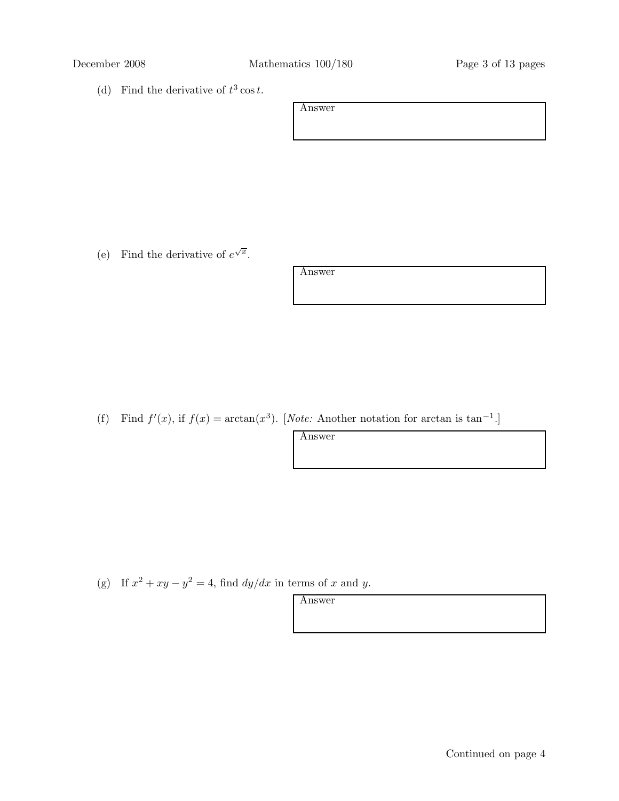(d) Find the derivative of  $t^3 \cos t$ .

Answer

(e) Find the derivative of  $e^{\sqrt{x}}$ .

Answer

(f) Find  $f'(x)$ , if  $f(x) = \arctan(x^3)$ . [Note: Another notation for arctan is tan<sup>-1</sup>.]

Answer

(g) If  $x^2 + xy - y^2 = 4$ , find  $dy/dx$  in terms of x and y.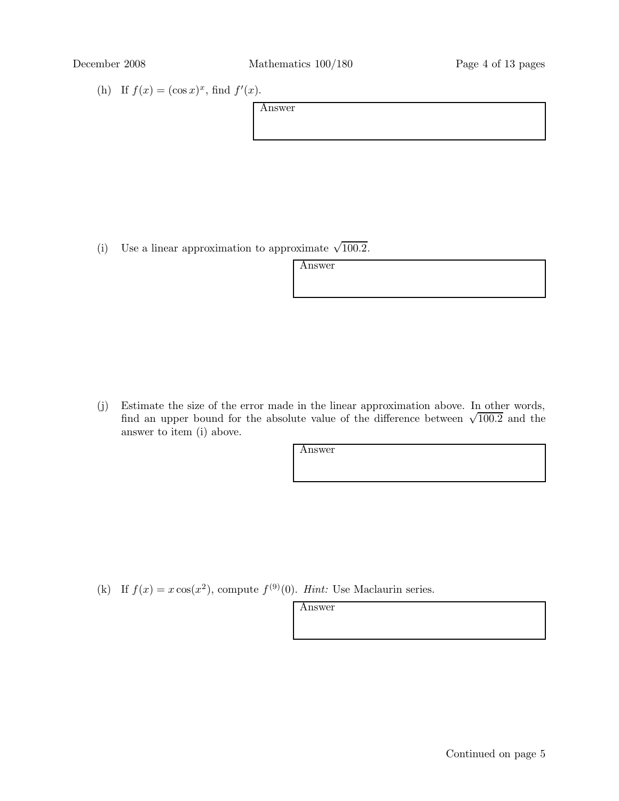(h) If  $f(x) = (\cos x)^x$ , find  $f'(x)$ .

| Answer |  |  |  |
|--------|--|--|--|
|        |  |  |  |
|        |  |  |  |
|        |  |  |  |

(i) Use a linear approximation to approximate  $\sqrt{100.2}$ .

Answer

(j) Estimate the size of the error made in the linear approximation above. In other words,  $\frac{1}{2}$  and  $\frac{1}{2}$  and  $\frac{1}{2}$  and  $\frac{1}{2}$  and  $\frac{1}{2}$  and  $\frac{1}{2}$  and  $\frac{1}{2}$  and  $\frac{1}{2}$  and  $\frac{1}{2}$  and  $\frac{1}{2}$  and  $\frac{1}{2}$  and  $\frac{1}{2}$  and  $\frac{1}{2}$  and  $\frac{1}{2}$  and  $\frac{1}{2}$  and  $\frac{1}{2}$  a answer to item (i) above.

Answer

(k) If  $f(x) = x \cos(x^2)$ , compute  $f^{(9)}(0)$ . Hint: Use Maclaurin series.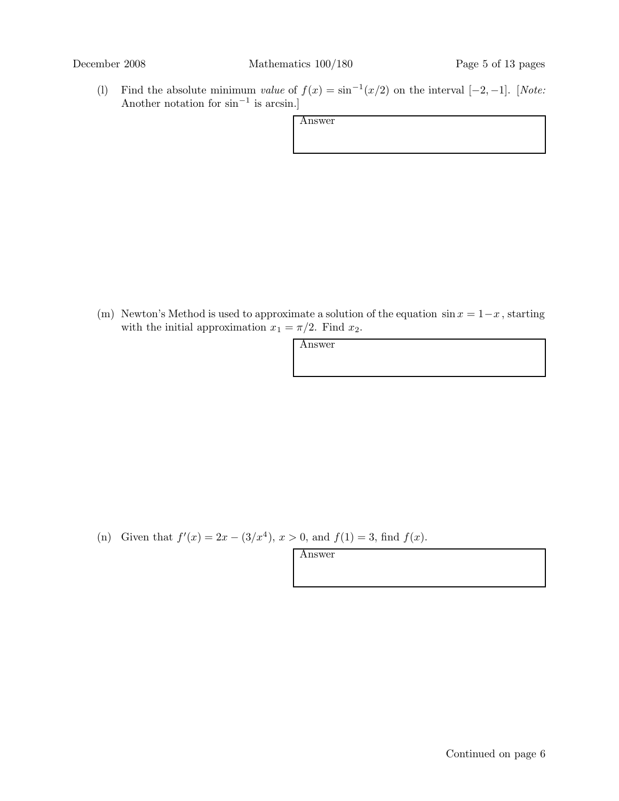(l) Find the absolute minimum value of  $f(x) = \sin^{-1}(x/2)$  on the interval  $[-2, -1]$ . [Note: Another notation for  $\sin^{-1}$  is arcsin.]

(m) Newton's Method is used to approximate a solution of the equation  $\sin x = 1-x$ , starting with the initial approximation  $x_1 = \pi/2$ . Find  $x_2$ .

| w<br>או<br>۰. |
|---------------|
|---------------|

(n) Given that  $f'(x) = 2x - (3/x^4)$ ,  $x > 0$ , and  $f(1) = 3$ , find  $f(x)$ .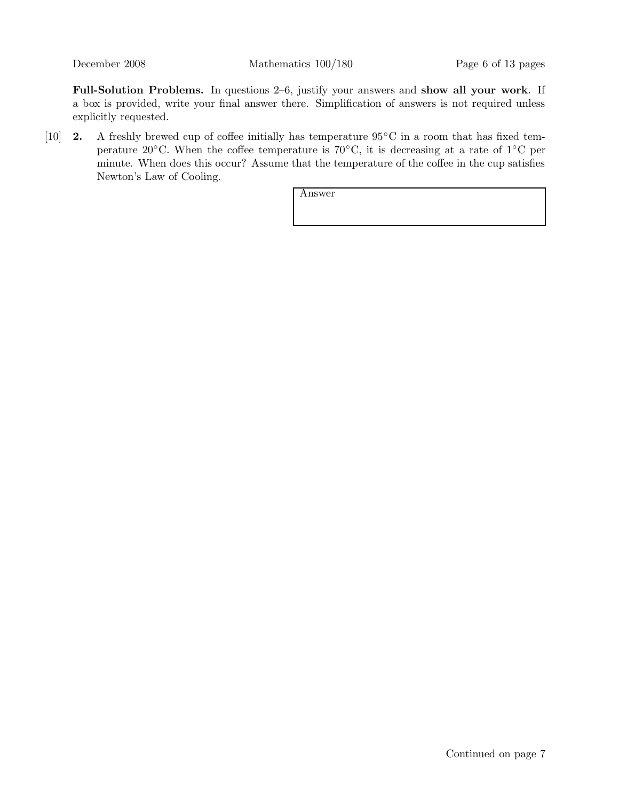December 2008 Mathematics 100/180 Page 6 of 13 pages

Full-Solution Problems. In questions 2–6, justify your answers and show all your work. If a box is provided, write your final answer there. Simplification of answers is not required unless explicitly requested.

[10] 2. A freshly brewed cup of coffee initially has temperature 95°C in a room that has fixed temperature 20 $\rm{^{\circ}C}$ . When the coffee temperature is 70 $\rm{^{\circ}C}$ , it is decreasing at a rate of 1 $\rm{^{\circ}C}$  per minute. When does this occur? Assume that the temperature of the coffee in the cup satisfies Newton's Law of Cooling.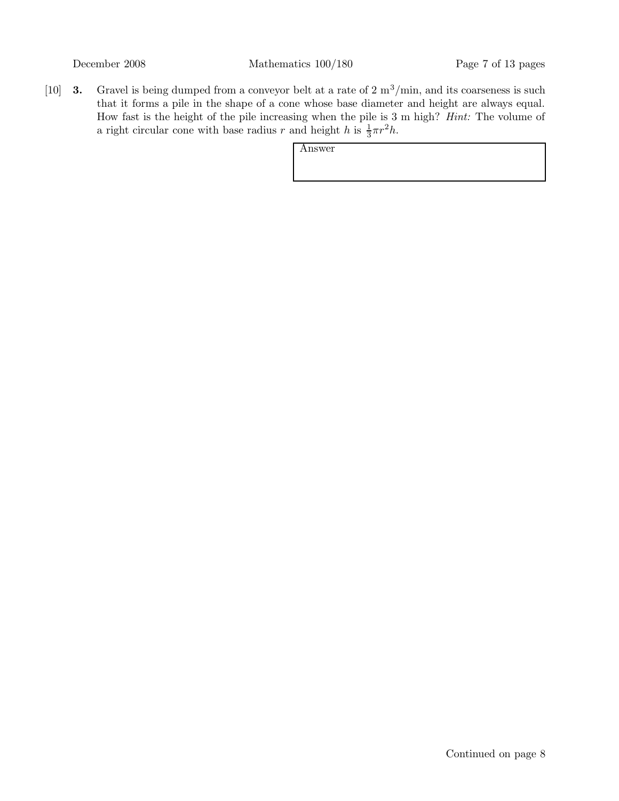[10] **3.** Gravel is being dumped from a conveyor belt at a rate of  $2 \text{ m}^3/\text{min}$ , and its coarseness is such that it forms a pile in the shape of a cone whose base diameter and height are always equal. How fast is the height of the pile increasing when the pile is 3 m high? Hint: The volume of a right circular cone with base radius r and height h is  $\frac{1}{3}\pi r^2 h$ .

| Answer |  |  |
|--------|--|--|
|        |  |  |
|        |  |  |
|        |  |  |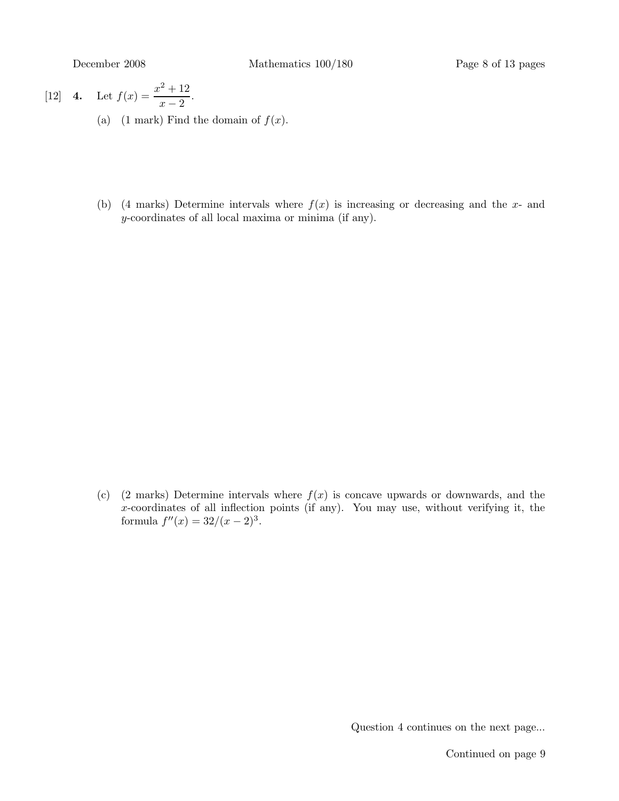[12] **4.** Let 
$$
f(x) = \frac{x^2 + 12}{x - 2}
$$
.

- (a) (1 mark) Find the domain of  $f(x)$ .
- (b) (4 marks) Determine intervals where  $f(x)$  is increasing or decreasing and the x- and y-coordinates of all local maxima or minima (if any).

(c) (2 marks) Determine intervals where  $f(x)$  is concave upwards or downwards, and the x-coordinates of all inflection points (if any). You may use, without verifying it, the formula  $f''(x) = 32/(x-2)^3$ .

Question 4 continues on the next page...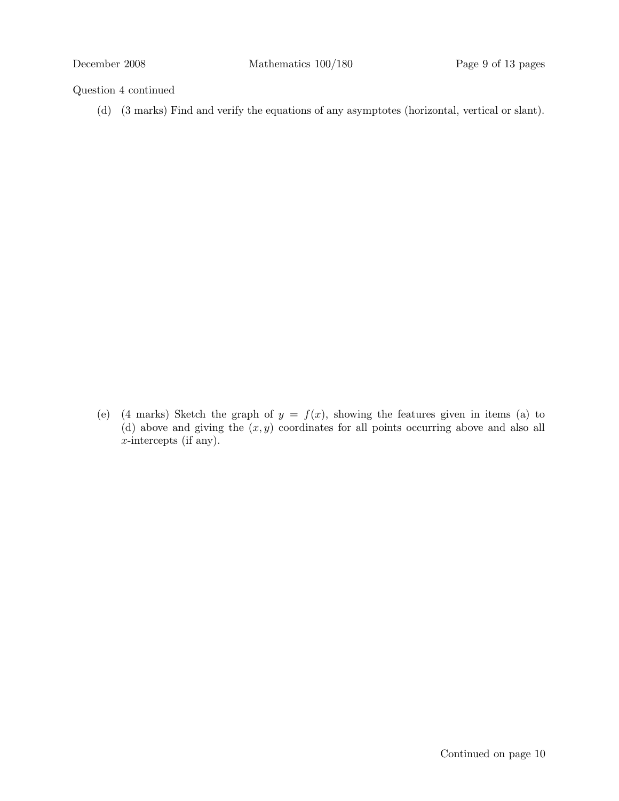## Question 4 continued

(d) (3 marks) Find and verify the equations of any asymptotes (horizontal, vertical or slant).

(e) (4 marks) Sketch the graph of  $y = f(x)$ , showing the features given in items (a) to (d) above and giving the  $(x, y)$  coordinates for all points occurring above and also all x-intercepts (if any).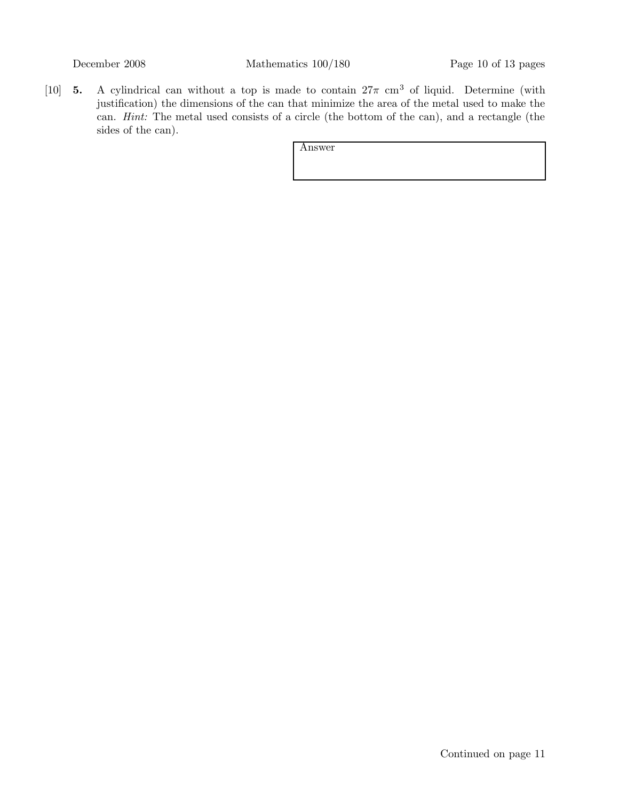[10] 5. A cylindrical can without a top is made to contain  $27\pi$  cm<sup>3</sup> of liquid. Determine (with justification) the dimensions of the can that minimize the area of the metal used to make the can. Hint: The metal used consists of a circle (the bottom of the can), and a rectangle (the sides of the can).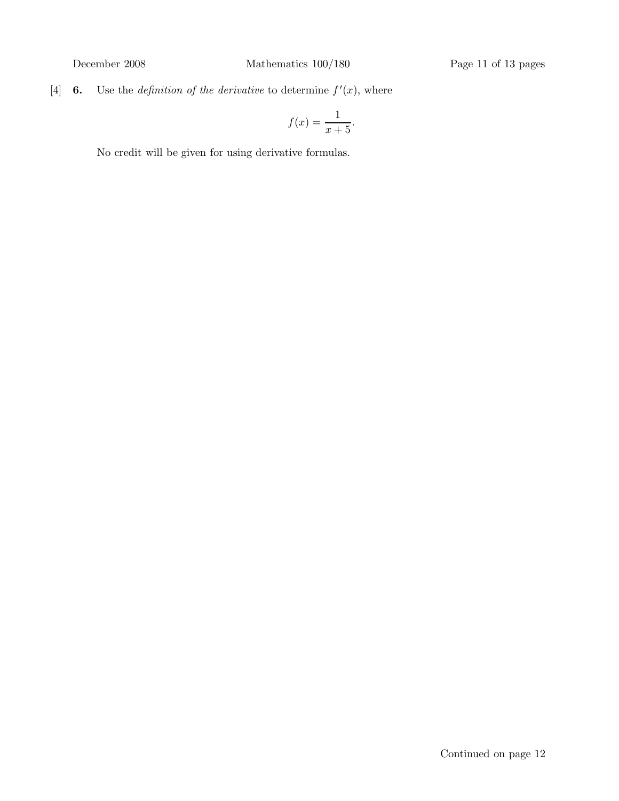[4] **6.** Use the *definition of the derivative* to determine  $f'(x)$ , where

$$
f(x) = \frac{1}{x+5}.
$$

No credit will be given for using derivative formulas.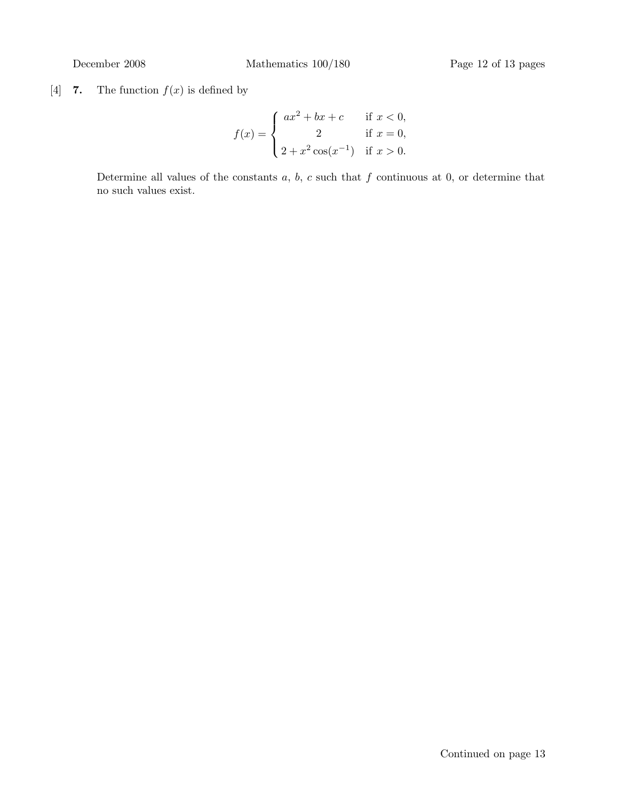[4] 7. The function  $f(x)$  is defined by

$$
f(x) = \begin{cases} ax^2 + bx + c & \text{if } x < 0, \\ 2 & \text{if } x = 0, \\ 2 + x^2 \cos(x^{-1}) & \text{if } x > 0. \end{cases}
$$

Determine all values of the constants  $a, b, c$  such that  $f$  continuous at  $0, \text{ or determine that}$ no such values exist.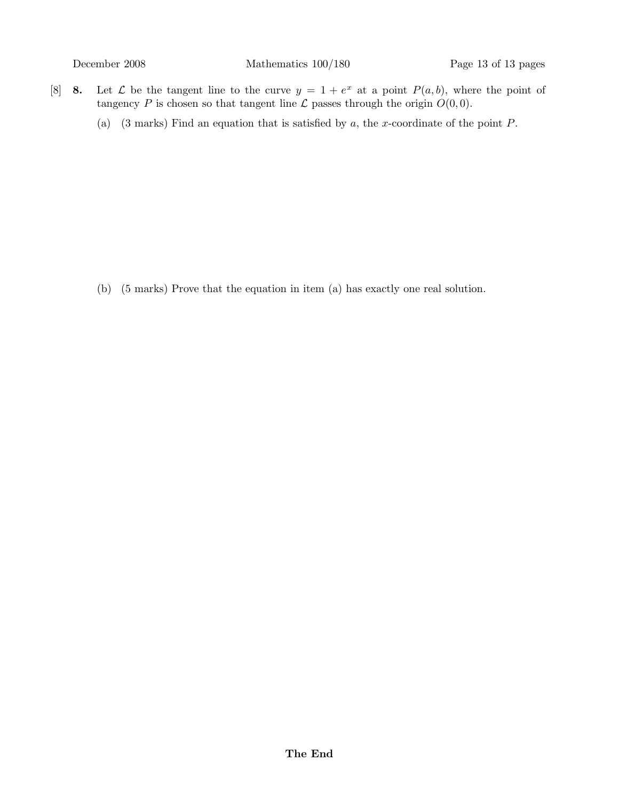- [8] **8.** Let  $\mathcal{L}$  be the tangent line to the curve  $y = 1 + e^x$  at a point  $P(a, b)$ , where the point of tangency P is chosen so that tangent line  $\mathcal L$  passes through the origin  $O(0, 0)$ .
	- (a) (3 marks) Find an equation that is satisfied by  $a$ , the x-coordinate of the point  $P$ .

(b) (5 marks) Prove that the equation in item (a) has exactly one real solution.